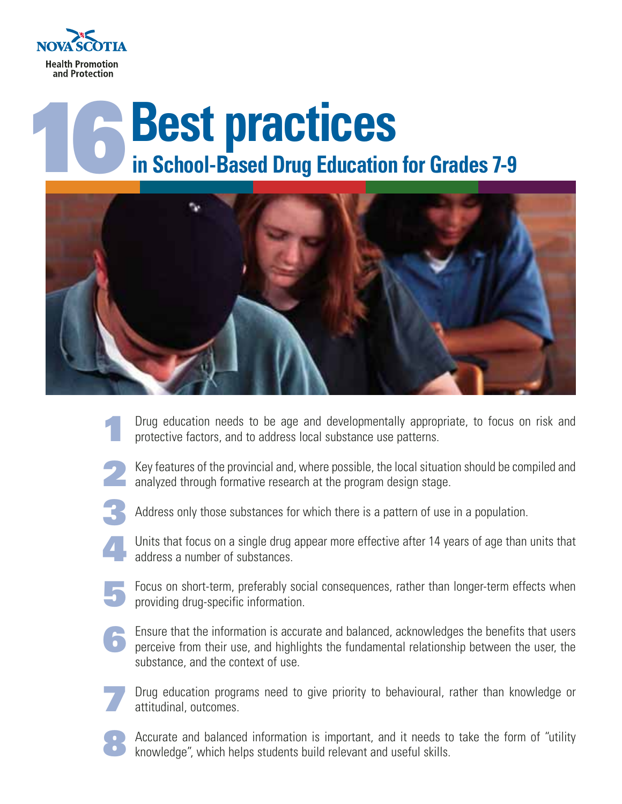

## **Best practices**<br>in School-Based Drug Education for Grades 7-9



- Drug education needs to be age and developmentally appropriate, to focus on risk and protective factors, and to address local substance use patterns. **1**
- **2**

Key features of the provincial and, where possible, the local situation should be compiled and analyzed through formative research at the program design stage.

**3**

Address only those substances for which there is a pattern of use in a population.

- Units that focus on a single drug appear more effective after 14 years of age than units that address a number of substances. **4**
- **5**

Focus on short-term, preferably social consequences, rather than longer-term effects when providing drug-specific information.

**6**

Ensure that the information is accurate and balanced, acknowledges the benefits that users perceive from their use, and highlights the fundamental relationship between the user, the substance, and the context of use.

**7**

Drug education programs need to give priority to behavioural, rather than knowledge or attitudinal, outcomes.

**8**

Accurate and balanced information is important, and it needs to take the form of "utility knowledge", which helps students build relevant and useful skills.